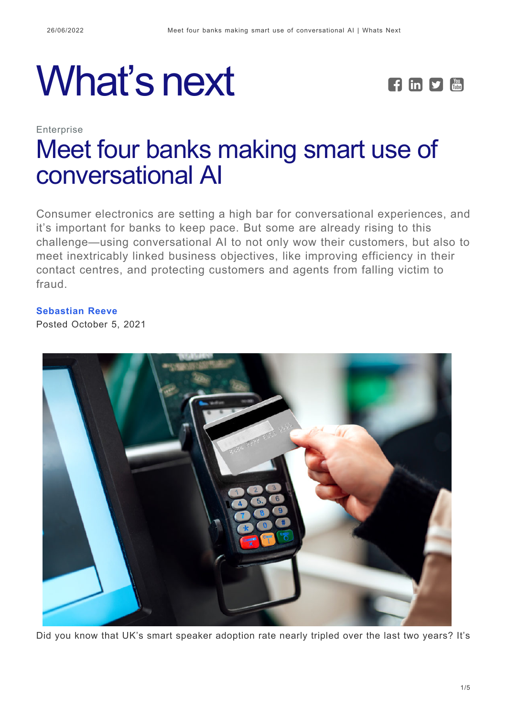



# **Enterprise** [Meet four banks making smart use of](https://whatsnext.nuance.com/en-au/enterprise/meet-four-banks-making-smart-use-of-conversational-ai/) [conversational AI](https://whatsnext.nuance.com/en-au/enterprise/meet-four-banks-making-smart-use-of-conversational-ai/)

Consumer electronics are setting a high bar for conversational experiences, and it's important for banks to keep pace. But some are already rising to this challenge—using conversational AI to not only wow their customers, but also to meet inextricably linked business objectives, like improving efficiency in their contact centres, and protecting customers and agents from falling victim to fraud.

**[Sebastian Reeve](https://whatsnext.nuance.com/en-au/author/sebastian-reeve/)** Posted October 5, 2021



Did you know that UK's smart speaker adoption rate nearly tripled over the last two years? It's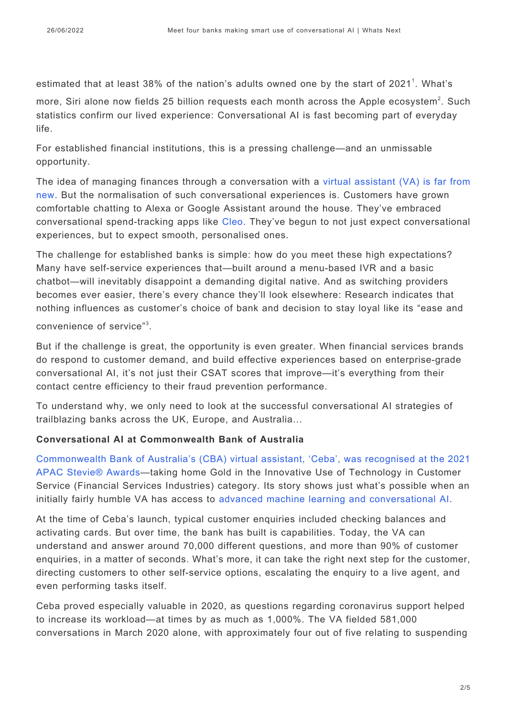estimated that at least 38% of the nation's adults owned one by the start of 2021<sup>1</sup>. What's

more, Siri alone now fields 25 billion requests each month across the Apple ecosystem<sup>2</sup>. Such statistics confirm our lived experience: Conversational AI is fast becoming part of everyday life.

For established financial institutions, this is a pressing challenge—and an unmissable opportunity.

The idea of managing finances through a conversation with a [virtual assistant \(VA\) is far from](https://www.nuance.com/en-au/omni-channel-customer-engagement.html) [new](https://www.nuance.com/en-au/omni-channel-customer-engagement.html). But the normalisation of such conversational experiences is. Customers have grown comfortable chatting to Alexa or Google Assistant around the house. They've embraced conversational spend-tracking apps like [Cleo.](https://www.meetcleo.com/) They've begun to not just expect conversational experiences, but to expect smooth, personalised ones.

The challenge for established banks is simple: how do you meet these high expectations? Many have self-service experiences that—built around a menu-based IVR and a basic chatbot—will inevitably disappoint a demanding digital native. And as switching providers becomes ever easier, there's every chance they'll look elsewhere: Research indicates that nothing influences as customer's choice of bank and decision to stay loyal like its "ease and

convenience of service"<sup>3</sup>.

But if the challenge is great, the opportunity is even greater. When financial services brands do respond to customer demand, and build effective experiences based on enterprise-grade conversational AI, it's not just their CSAT scores that improve—it's everything from their contact centre efficiency to their fraud prevention performance.

To understand why, we only need to look at the successful conversational AI strategies of trailblazing banks across the UK, Europe, and Australia…

## **Conversational AI at Commonwealth Bank of Australia**

[Commonwealth Bank of Australia's \(CBA\) virtual assistant, 'Ceba', was recognised at the 2021](https://whatsnext.nuance.com/en-au/enterprise/nuance-and-commonwealth-bank-of-australias-virtual-assistant-ceba-wins-apac-stevie-award/) [APAC Stevie® Awards—](https://whatsnext.nuance.com/en-au/enterprise/nuance-and-commonwealth-bank-of-australias-virtual-assistant-ceba-wins-apac-stevie-award/)taking home Gold in the Innovative Use of Technology in Customer Service (Financial Services Industries) category. Its story shows just what's possible when an initially fairly humble VA has access to [advanced machine learning and conversational AI.](https://whatsnext.nuance.com/en-au/enterprise/bank-australia-joins-a-wave-of-brands-leading-the-world-in-customer-authentication/)

At the time of Ceba's launch, typical customer enquiries included checking balances and activating cards. But over time, the bank has built is capabilities. Today, the VA can understand and answer around 70,000 different questions, and more than 90% of customer enquiries, in a matter of seconds. What's more, it can take the right next step for the customer, directing customers to other self-service options, escalating the enquiry to a live agent, and even performing tasks itself.

Ceba proved especially valuable in 2020, as questions regarding coronavirus support helped to increase its workload—at times by as much as 1,000%. The VA fielded 581,000 conversations in March 2020 alone, with approximately four out of five relating to suspending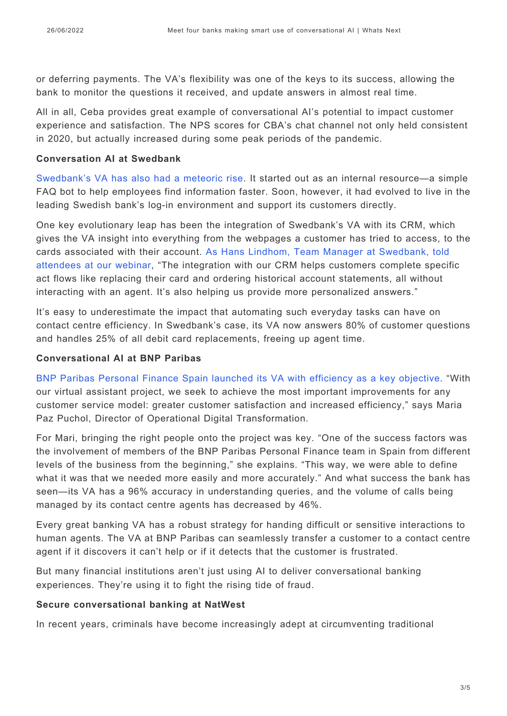or deferring payments. The VA's flexibility was one of the keys to its success, allowing the bank to monitor the questions it received, and update answers in almost real time.

All in all, Ceba provides great example of conversational AI's potential to impact customer experience and satisfaction. The NPS scores for CBA's chat channel not only held consistent in 2020, but actually increased during some peak periods of the pandemic.

#### **Conversation AI at Swedbank**

[Swedbank's VA has also had a meteoric rise.](https://whatsnext.nuance.com/en-gb/enterprise/four-key-tips-for-your-virtual-assistant-deployment-from-a-banking-leader/) It started out as an internal resource—a simple FAQ bot to help employees find information faster. Soon, however, it had evolved to live in the leading Swedish bank's log-in environment and support its customers directly.

One key evolutionary leap has been the integration of Swedbank's VA with its CRM, which gives the VA insight into everything from the webpages a customer has tried to access, to the cards associated with their account. [As Hans Lindhom, Team Manager at Swedbank, told](https://www.nuance.com/en-gb/omni-channel-customer-engagement/landing/webinar/swedbank.html?cid=7010W000002LDdiQAG&utm_campaign=EEO-EM-20210310-Sweden_Bank_Webinar_OnDemand&utm_medium=Organic&utm_source=whats_next&_ga=2.27551227.696160949.1627906042-242279309.1620810505&_gac=1.262917816.1627400758.EAIaIQobChMIxp2xnsyD8gIVVoFQBh361QknEAAYASAAEgIKGvD_BwE) [attendees at our webinar,](https://www.nuance.com/en-gb/omni-channel-customer-engagement/landing/webinar/swedbank.html?cid=7010W000002LDdiQAG&utm_campaign=EEO-EM-20210310-Sweden_Bank_Webinar_OnDemand&utm_medium=Organic&utm_source=whats_next&_ga=2.27551227.696160949.1627906042-242279309.1620810505&_gac=1.262917816.1627400758.EAIaIQobChMIxp2xnsyD8gIVVoFQBh361QknEAAYASAAEgIKGvD_BwE) "The integration with our CRM helps customers complete specific act flows like replacing their card and ordering historical account statements, all without interacting with an agent. It's also helping us provide more personalized answers."

It's easy to underestimate the impact that automating such everyday tasks can have on contact centre efficiency. In Swedbank's case, its VA now answers 80% of customer questions and handles 25% of all debit card replacements, freeing up agent time.

#### **Conversational AI at BNP Paribas**

[BNP Paribas Personal Finance Spain launched its VA with efficiency as a key objective.](https://www.nuance.com/omni-channel-customer-engagement/case-studies/bnp-paribas-personal-finance-optimizes-customer-service-with-virtual-assistant.html) "With our virtual assistant project, we seek to achieve the most important improvements for any customer service model: greater customer satisfaction and increased efficiency," says Maria Paz Puchol, Director of Operational Digital Transformation.

For Mari, bringing the right people onto the project was key. "One of the success factors was the involvement of members of the BNP Paribas Personal Finance team in Spain from different levels of the business from the beginning," she explains. "This way, we were able to define what it was that we needed more easily and more accurately." And what success the bank has seen—its VA has a 96% accuracy in understanding queries, and the volume of calls being managed by its contact centre agents has decreased by 46%.

Every great banking VA has a robust strategy for handing difficult or sensitive interactions to human agents. The VA at BNP Paribas can seamlessly transfer a customer to a contact centre agent if it discovers it can't help or if it detects that the customer is frustrated.

But many financial institutions aren't just using AI to deliver conversational banking experiences. They're using it to fight the rising tide of fraud.

#### **Secure conversational banking at NatWest**

In recent years, criminals have become increasingly adept at circumventing traditional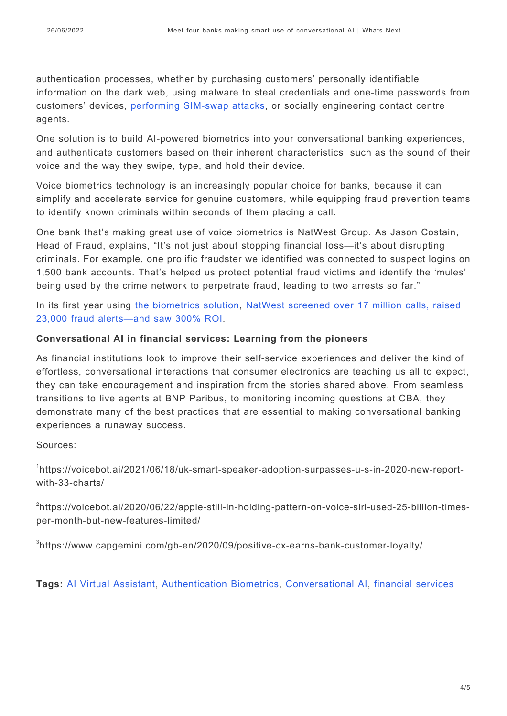authentication processes, whether by purchasing customers' personally identifiable information on the dark web, using malware to steal credentials and one-time passwords from customers' devices, [performing SIM-swap attacks](https://whatsnext.nuance.com/enterprise/the-fight-against-fraud/), or socially engineering contact centre agents.

One solution is to build AI-powered biometrics into your conversational banking experiences, and authenticate customers based on their inherent characteristics, such as the sound of their voice and the way they swipe, type, and hold their device.

Voice biometrics technology is an increasingly popular choice for banks, because it can simplify and accelerate service for genuine customers, while equipping fraud prevention teams to identify known criminals within seconds of them placing a call.

One bank that's making great use of voice biometrics is NatWest Group. As Jason Costain, Head of Fraud, explains, "It's not just about stopping financial loss—it's about disrupting criminals. For example, one prolific fraudster we identified was connected to suspect logins on 1,500 bank accounts. That's helped us protect potential fraud victims and identify the 'mules' being used by the crime network to perpetrate fraud, leading to two arrests so far."

In its first year using [the biometrics solution](https://www.nuance.com/en-gb/omni-channel-customer-engagement/security/nuance-gatekeeper.html), [NatWest screened over 17 million calls, raised](https://www.nuance.com/omni-channel-customer-engagement/case-studies/natwest-group-fights-fraud-and-improves-customer-experiences.html) [23,000 fraud alerts—and saw 300% ROI.](https://www.nuance.com/omni-channel-customer-engagement/case-studies/natwest-group-fights-fraud-and-improves-customer-experiences.html)

## **Conversational AI in financial services: Learning from the pioneers**

As financial institutions look to improve their self-service experiences and deliver the kind of effortless, conversational interactions that consumer electronics are teaching us all to expect, they can take encouragement and inspiration from the stories shared above. From seamless transitions to live agents at BNP Paribus, to monitoring incoming questions at CBA, they demonstrate many of the best practices that are essential to making conversational banking experiences a runaway success.

Sources:

1 https://voicebot.ai/2021/06/18/uk-smart-speaker-adoption-surpasses-u-s-in-2020-new-reportwith-33-charts/

<sup>2</sup>https://voicebot.ai/2020/06/22/apple-still-in-holding-pattern-on-voice-siri-used-25-billion-timesper-month-but-new-features-limited/

3 https://www.capgemini.com/gb-en/2020/09/positive-cx-earns-bank-customer-loyalty/

**Tags:** [AI Virtual Assistant](https://whatsnext.nuance.com/en-au/tag/ai-virtual-assistant-en-au/), [Authentication Biometrics,](https://whatsnext.nuance.com/en-au/tag/authentication-biometrics-2/) [Conversational AI,](https://whatsnext.nuance.com/en-au/tag/conversational-ai-4/) [financial services](https://whatsnext.nuance.com/en-au/tag/financial-services-2/)